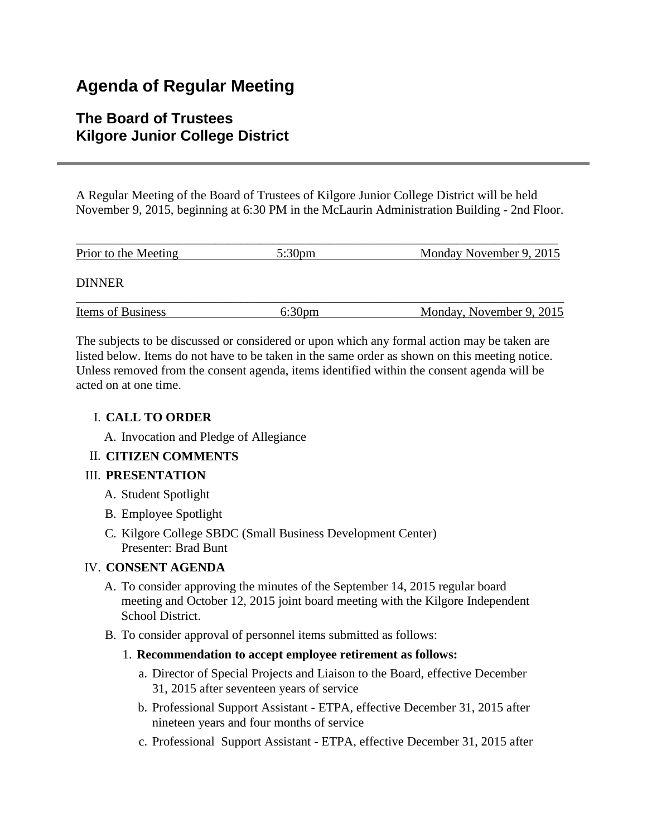# **Agenda of Regular Meeting**

# **The Board of Trustees Kilgore Junior College District**

A Regular Meeting of the Board of Trustees of Kilgore Junior College District will be held November 9, 2015, beginning at 6:30 PM in the McLaurin Administration Building - 2nd Floor.

| Prior to the Meeting | $5:30 \text{pm}$ | Monday November 9, 2015  |
|----------------------|------------------|--------------------------|
| <b>DINNER</b>        |                  |                          |
| Items of Business    | <u>6:30pm</u>    | Monday, November 9, 2015 |

The subjects to be discussed or considered or upon which any formal action may be taken are listed below. Items do not have to be taken in the same order as shown on this meeting notice. Unless removed from the consent agenda, items identified within the consent agenda will be acted on at one time.

# I. **CALL TO ORDER**

A. Invocation and Pledge of Allegiance

# II. **CITIZEN COMMENTS**

# III. **PRESENTATION**

- A. Student Spotlight
- B. Employee Spotlight
- C. Kilgore College SBDC (Small Business Development Center) Presenter: Brad Bunt

# IV. **CONSENT AGENDA**

- A. To consider approving the minutes of the September 14, 2015 regular board meeting and October 12, 2015 joint board meeting with the Kilgore Independent School District.
- B. To consider approval of personnel items submitted as follows:

# 1. **Recommendation to accept employee retirement as follows:**

- a. Director of Special Projects and Liaison to the Board, effective December 31, 2015 after seventeen years of service
- b. Professional Support Assistant ETPA, effective December 31, 2015 after nineteen years and four months of service
- c. Professional Support Assistant ETPA, effective December 31, 2015 after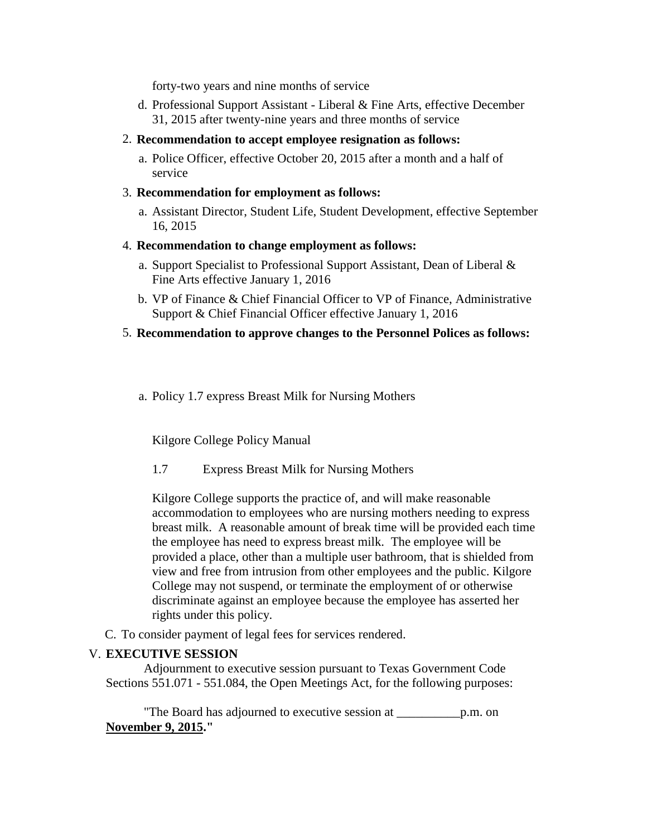forty-two years and nine months of service

- d. Professional Support Assistant Liberal & Fine Arts, effective December 31, 2015 after twenty-nine years and three months of service
- 2. **Recommendation to accept employee resignation as follows:**
	- a. Police Officer, effective October 20, 2015 after a month and a half of service
- 3. **Recommendation for employment as follows:**
	- a. Assistant Director, Student Life, Student Development, effective September 16, 2015
- 4. **Recommendation to change employment as follows:**
	- a. Support Specialist to Professional Support Assistant, Dean of Liberal & Fine Arts effective January 1, 2016
	- b. VP of Finance & Chief Financial Officer to VP of Finance, Administrative Support & Chief Financial Officer effective January 1, 2016
- 5. **Recommendation to approve changes to the Personnel Polices as follows:**
	- a. Policy 1.7 express Breast Milk for Nursing Mothers

Kilgore College Policy Manual

1.7 Express Breast Milk for Nursing Mothers

Kilgore College supports the practice of, and will make reasonable accommodation to employees who are nursing mothers needing to express breast milk. A reasonable amount of break time will be provided each time the employee has need to express breast milk. The employee will be provided a place, other than a multiple user bathroom, that is shielded from view and free from intrusion from other employees and the public. Kilgore College may not suspend, or terminate the employment of or otherwise discriminate against an employee because the employee has asserted her rights under this policy.

C. To consider payment of legal fees for services rendered.

#### V. **EXECUTIVE SESSION**

 Adjournment to executive session pursuant to Texas Government Code Sections 551.071 - 551.084, the Open Meetings Act, for the following purposes:

 "The Board has adjourned to executive session at \_\_\_\_\_\_\_\_\_\_p.m. on **November 9, 2015."**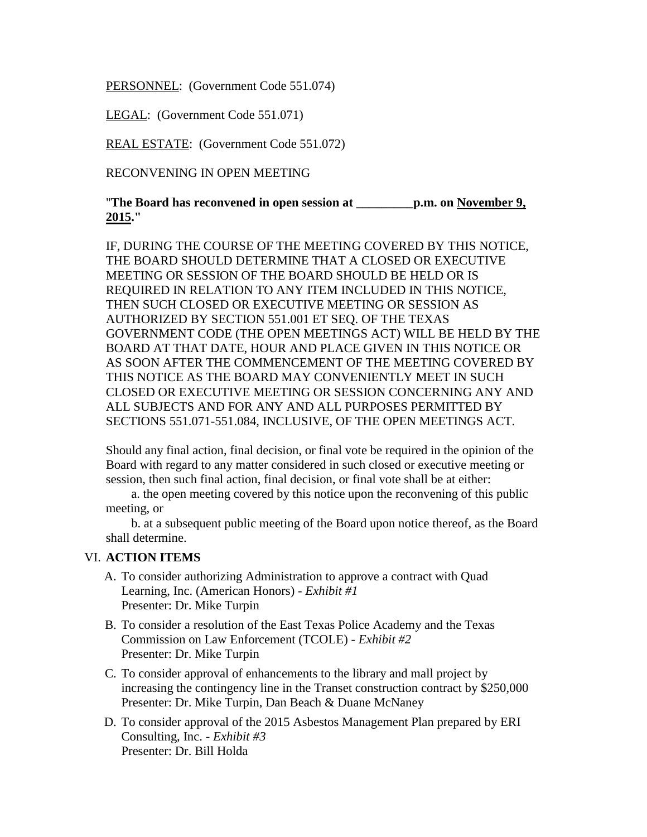PERSONNEL: (Government Code 551.074)

LEGAL: (Government Code 551.071)

REAL ESTATE: (Government Code 551.072)

RECONVENING IN OPEN MEETING

"**The Board has reconvened in open session at \_\_\_\_\_\_\_\_\_p.m. on November 9, 2015."**

IF, DURING THE COURSE OF THE MEETING COVERED BY THIS NOTICE, THE BOARD SHOULD DETERMINE THAT A CLOSED OR EXECUTIVE MEETING OR SESSION OF THE BOARD SHOULD BE HELD OR IS REQUIRED IN RELATION TO ANY ITEM INCLUDED IN THIS NOTICE, THEN SUCH CLOSED OR EXECUTIVE MEETING OR SESSION AS AUTHORIZED BY SECTION 551.001 ET SEQ. OF THE TEXAS GOVERNMENT CODE (THE OPEN MEETINGS ACT) WILL BE HELD BY THE BOARD AT THAT DATE, HOUR AND PLACE GIVEN IN THIS NOTICE OR AS SOON AFTER THE COMMENCEMENT OF THE MEETING COVERED BY THIS NOTICE AS THE BOARD MAY CONVENIENTLY MEET IN SUCH CLOSED OR EXECUTIVE MEETING OR SESSION CONCERNING ANY AND ALL SUBJECTS AND FOR ANY AND ALL PURPOSES PERMITTED BY SECTIONS 551.071-551.084, INCLUSIVE, OF THE OPEN MEETINGS ACT.

Should any final action, final decision, or final vote be required in the opinion of the Board with regard to any matter considered in such closed or executive meeting or session, then such final action, final decision, or final vote shall be at either:

 a. the open meeting covered by this notice upon the reconvening of this public meeting, or

 b. at a subsequent public meeting of the Board upon notice thereof, as the Board shall determine.

# VI. **ACTION ITEMS**

- A. To consider authorizing Administration to approve a contract with Quad Learning, Inc. (American Honors) - *Exhibit #1* Presenter: Dr. Mike Turpin
- B. To consider a resolution of the East Texas Police Academy and the Texas Commission on Law Enforcement (TCOLE) - *Exhibit #2* Presenter: Dr. Mike Turpin
- C. To consider approval of enhancements to the library and mall project by increasing the contingency line in the Transet construction contract by \$250,000 Presenter: Dr. Mike Turpin, Dan Beach & Duane McNaney
- D. To consider approval of the 2015 Asbestos Management Plan prepared by ERI Consulting, Inc. - *Exhibit #3* Presenter: Dr. Bill Holda